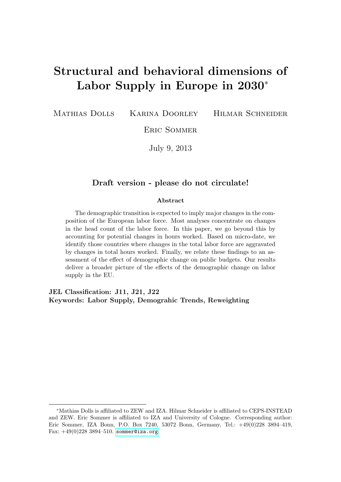# Structural and behavioral dimensions of Labor Supply in Europe in 2030<sup>∗</sup>

Mathias Dolls Karina Doorley Hilmar Schneider

Eric Sommer

July 9, 2013

#### Draft version - please do not circulate!

#### Abstract

The demographic transition is expected to imply major changes in the composition of the European labor force. Most analyses concentrate on changes in the head count of the labor force. In this paper, we go beyond this by accounting for potential changes in hours worked. Based on micro-date, we identify those countries where changes in the total labor force are aggravated by changes in total hours worked. Finally, we relate these findings to an assessment of the effect of demographic change on public budgets. Our results deliver a broader picture of the effects of the demographic change on labor supply in the EU.

JEL Classification: J11, J21, J22 Keywords: Labor Supply, Demograhic Trends, Reweighting

<sup>∗</sup>Mathias Dolls is affiliated to ZEW and IZA. Hilmar Schneider is affiliated to CEPS-INSTEAD and ZEW. Eric Sommer is affiliated to IZA and University of Cologne. Corresponding author: Eric Sommer, IZA Bonn, P.O. Box 7240, 53072 Bonn, Germany, Tel.: +49(0)228 3894–419, Fax:  $+49(0)228\,3894-510$ . <sommer@iza.org>.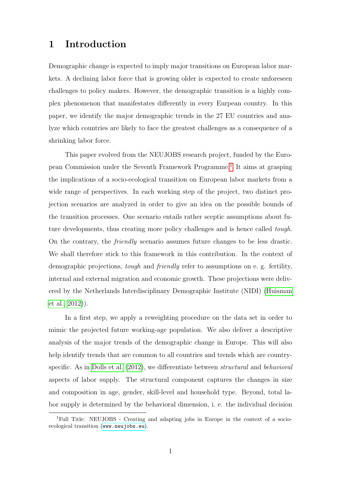### 1 Introduction

Demographic change is expected to imply major transitions on European labor markets. A declining labor force that is growing older is expected to create unforeseen challenges to policy makers. However, the demographic transition is a highly complex phenomenon that manifestates differently in every Eurpean country. In this paper, we identify the major demographic trends in the 27 EU countries and analyze which countries are likely to face the greatest challenges as a consequence of a shrinking labor force.

This paper evolved from the NEUJOBS research project, funded by the Euro-pean Commission under the Seventh Framework Programme.<sup>[1](#page-1-0)</sup> It aims at grasping the implications of a socio-ecological transition on European labor markets from a wide range of perspectives. In each working step of the project, two distinct projection scenarios are analyzed in order to give an idea on the possible bounds of the transition processes. One scenario entails rather sceptic assumptions about future developments, thus creating more policy challenges and is hence called *tough*. On the contrary, the friendly scenario assumes future changes to be less drastic. We shall therefore stick to this framework in this contribution. In the context of demographic projections, *tough* and *friendly* refer to assumptions on e. g. fertility, internal and external migration and economic growth. These projections were delivered by the Netherlands Interdisciplinary Demographic Institute (NIDI) [\(Huisman](#page-19-0) [et al., 2012\)](#page-19-0)).

In a first step, we apply a reweighting procedure on the data set in order to mimic the projected future working-age population. We also deliver a descriptive analysis of the major trends of the demographic change in Europe. This will also help identify trends that are common to all countries and trends which are countryspecific. As in [Dolls et al.](#page-19-1) [\(2012\)](#page-19-1), we differentiate between structural and behavioral aspects of labor supply. The structural component captures the changes in size and composition in age, gender, skill-level and household type. Beyond, total labor supply is determined by the behavioral dimension, i. e. the individual decision

<span id="page-1-0"></span><sup>&</sup>lt;sup>1</sup>Full Title: NEUJOBS - Creating and adapting jobs in Europe in the context of a socioecological transition (<www.neujobs.eu>).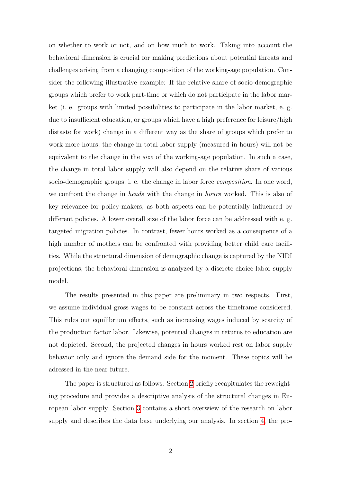on whether to work or not, and on how much to work. Taking into account the behavioral dimension is crucial for making predictions about potential threats and challenges arising from a changing composition of the working-age population. Consider the following illustrative example: If the relative share of socio-demographic groups which prefer to work part-time or which do not participate in the labor market (i. e. groups with limited possibilities to participate in the labor market, e. g. due to insufficient education, or groups which have a high preference for leisure/high distaste for work) change in a different way as the share of groups which prefer to work more hours, the change in total labor supply (measured in hours) will not be equivalent to the change in the size of the working-age population. In such a case, the change in total labor supply will also depend on the relative share of various socio-demographic groups, i. e. the change in labor force *composition*. In one word, we confront the change in *heads* with the change in *hours* worked. This is also of key relevance for policy-makers, as both aspects can be potentially influenced by different policies. A lower overall size of the labor force can be addressed with e. g. targeted migration policies. In contrast, fewer hours worked as a consequence of a high number of mothers can be confronted with providing better child care facilities. While the structural dimension of demographic change is captured by the NIDI projections, the behavioral dimension is analyzed by a discrete choice labor supply model.

The results presented in this paper are preliminary in two respects. First, we assume individual gross wages to be constant across the timeframe considered. This rules out equilibrium effects, such as increasing wages induced by scarcity of the production factor labor. Likewise, potential changes in returns to education are not depicted. Second, the projected changes in hours worked rest on labor supply behavior only and ignore the demand side for the moment. These topics will be adressed in the near future.

The paper is structured as follows: Section [2](#page-3-0) briefly recapitulates the reweighting procedure and provides a descriptive analysis of the structural changes in European labor supply. Section [3](#page-7-0) contains a short overwiew of the research on labor supply and describes the data base underlying our analysis. In section [4,](#page-10-0) the pro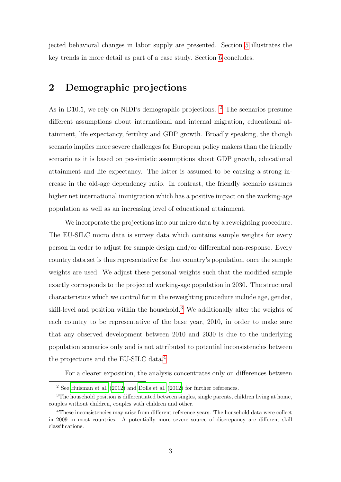jected behavioral changes in labor supply are presented. Section [5](#page-15-0) illustrates the key trends in more detail as part of a case study. Section [6](#page-17-0) concludes.

# <span id="page-3-0"></span>2 Demographic projections

As in D10.5, we rely on NIDI's demographic projections. <sup>[2](#page-3-1)</sup> The scenarios presume different assumptions about international and internal migration, educational attainment, life expectancy, fertility and GDP growth. Broadly speaking, the though scenario implies more severe challenges for European policy makers than the friendly scenario as it is based on pessimistic assumptions about GDP growth, educational attainment and life expectancy. The latter is assumed to be causing a strong increase in the old-age dependency ratio. In contrast, the friendly scenario assumes higher net international immigration which has a positive impact on the working-age population as well as an increasing level of educational attainment.

We incorporate the projections into our micro data by a reweighting procedure. The EU-SILC micro data is survey data which contains sample weights for every person in order to adjust for sample design and/or differential non-response. Every country data set is thus representative for that country's population, once the sample weights are used. We adjust these personal weights such that the modified sample exactly corresponds to the projected working-age population in 2030. The structural characteristics which we control for in the reweighting procedure include age, gender, skill-level and position within the household.<sup>[3](#page-3-2)</sup> We additionally alter the weights of each country to be representative of the base year, 2010, in order to make sure that any observed development between 2010 and 2030 is due to the underlying population scenarios only and is not attributed to potential inconsistencies between the projections and the EU-SILC data.[4](#page-3-3)

For a clearer exposition, the analysis concentrates only on differences between

<span id="page-3-2"></span><span id="page-3-1"></span><sup>2</sup> See [Huisman et al.](#page-19-0) [\(2012\)](#page-19-0) and [Dolls et al.](#page-19-1) [\(2012\)](#page-19-1) for further references.

<sup>&</sup>lt;sup>3</sup>The household position is differentiated between singles, single parents, children living at home, couples without children, couples with children and other.

<span id="page-3-3"></span><sup>&</sup>lt;sup>4</sup>These inconsistencies may arise from different reference years. The household data were collect in 2009 in most countries. A potentially more severe source of discrepancy are different skill classifications.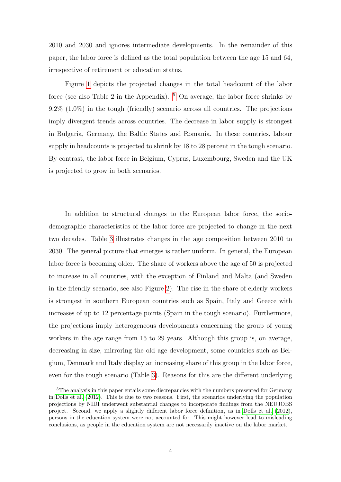2010 and 2030 and ignores intermediate developments. In the remainder of this paper, the labor force is defined as the total population between the age 15 and 64, irrespective of retirement or education status.

Figure [1](#page-5-0) depicts the projected changes in the total headcount of the labor force (see also Table 2 in the Appendix).  $5$  On average, the labor force shrinks by 9.2% (1.0%) in the tough (friendly) scenario across all countries. The projections imply divergent trends across countries. The decrease in labor supply is strongest in Bulgaria, Germany, the Baltic States and Romania. In these countries, labour supply in headcounts is projected to shrink by 18 to 28 percent in the tough scenario. By contrast, the labor force in Belgium, Cyprus, Luxembourg, Sweden and the UK is projected to grow in both scenarios.

In addition to structural changes to the European labor force, the sociodemographic characteristics of the labor force are projected to change in the next two decades. Table [3](#page-22-0) illustrates changes in the age composition between 2010 to 2030. The general picture that emerges is rather uniform. In general, the European labor force is becoming older. The share of workers above the age of 50 is projected to increase in all countries, with the exception of Finland and Malta (and Sweden in the friendly scenario, see also Figure [2\)](#page-6-0). The rise in the share of elderly workers is strongest in southern European countries such as Spain, Italy and Greece with increases of up to 12 percentage points (Spain in the tough scenario). Furthermore, the projections imply heterogeneous developments concerning the group of young workers in the age range from 15 to 29 years. Although this group is, on average, decreasing in size, mirroring the old age development, some countries such as Belgium, Denmark and Italy display an increasing share of this group in the labor force, even for the tough scenario (Table [3\)](#page-22-0). Reasons for this are the different underlying

<span id="page-4-0"></span><sup>&</sup>lt;sup>5</sup>The analysis in this paper entails some discrepancies with the numbers presented for Germany in [Dolls et al.](#page-19-1) [\(2012\)](#page-19-1). This is due to two reasons. First, the scenarios underlying the population projections by NIDI underwent substantial changes to incorporate findings from the NEUJOBS project. Second, we apply a slightly different labor force definition, as in [Dolls et al.](#page-19-1) [\(2012\)](#page-19-1), persons in the education system were not accounted for. This might however lead to misleading conclusions, as people in the education system are not necessarily inactive on the labor market.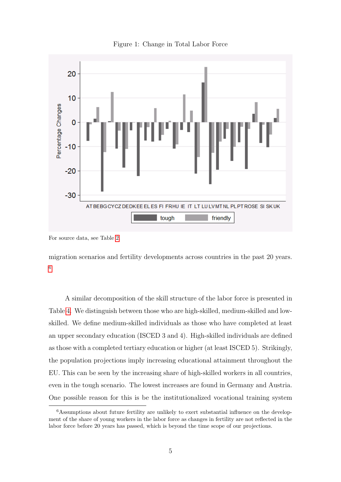<span id="page-5-0"></span>

Figure 1: Change in Total Labor Force

migration scenarios and fertility developments across countries in the past 20 years. [6](#page-5-1)

A similar decomposition of the skill structure of the labor force is presented in Table [4.](#page-23-0) We distinguish between those who are high-skilled, medium-skilled and lowskilled. We define medium-skilled individuals as those who have completed at least an upper secondary education (ISCED 3 and 4). High-skilled individuals are defined as those with a completed tertiary education or higher (at least ISCED 5). Strikingly, the population projections imply increasing educational attainment throughout the EU. This can be seen by the increasing share of high-skilled workers in all countries, even in the tough scenario. The lowest increases are found in Germany and Austria. One possible reason for this is be the institutionalized vocational training system

For source data, see Table [2.](#page-21-0)

<span id="page-5-1"></span><sup>&</sup>lt;sup>6</sup>Assumptions about future fertility are unlikely to exert substantial influence on the development of the share of young workers in the labor force as changes in fertility are not reflected in the labor force before 20 years has passed, which is beyond the time scope of our projections.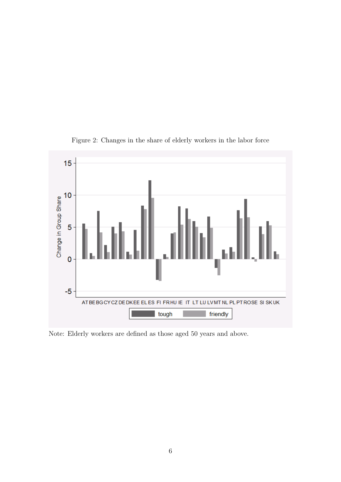<span id="page-6-0"></span>

Figure 2: Changes in the share of elderly workers in the labor force

Note: Elderly workers are defined as those aged 50 years and above.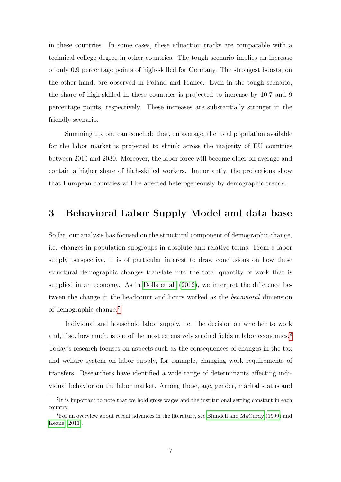in these countries. In some cases, these eduaction tracks are comparable with a technical college degree in other countries. The tough scenario implies an increase of only 0.9 percentage points of high-skilled for Germany. The strongest boosts, on the other hand, are observed in Poland and France. Even in the tough scenario, the share of high-skilled in these countries is projected to increase by 10.7 and 9 percentage points, respectively. These increases are substantially stronger in the friendly scenario.

Summing up, one can conclude that, on average, the total population available for the labor market is projected to shrink across the majority of EU countries between 2010 and 2030. Moreover, the labor force will become older on average and contain a higher share of high-skilled workers. Importantly, the projections show that European countries will be affected heterogeneously by demographic trends.

### <span id="page-7-0"></span>3 Behavioral Labor Supply Model and data base

So far, our analysis has focused on the structural component of demographic change, i.e. changes in population subgroups in absolute and relative terms. From a labor supply perspective, it is of particular interest to draw conclusions on how these structural demographic changes translate into the total quantity of work that is supplied in an economy. As in [Dolls et al.](#page-19-1) [\(2012\)](#page-19-1), we interpret the difference between the change in the headcount and hours worked as the *behavioral* dimension of demographic change.[7](#page-7-1)

Individual and household labor supply, i.e. the decision on whether to work and, if so, how much, is one of the most extensively studied fields in labor economics.<sup>[8](#page-7-2)</sup> Today's research focuses on aspects such as the consequences of changes in the tax and welfare system on labor supply, for example, changing work requirements of transfers. Researchers have identified a wide range of determinants affecting individual behavior on the labor market. Among these, age, gender, marital status and

<span id="page-7-1"></span><sup>&</sup>lt;sup>7</sup>It is important to note that we hold gross wages and the institutional setting constant in each country.

<span id="page-7-2"></span><sup>&</sup>lt;sup>8</sup>For an overview about recent advances in the literature, see [Blundell and MaCurdy](#page-19-2) [\(1999\)](#page-19-2) and [Keane](#page-19-3) [\(2011\)](#page-19-3).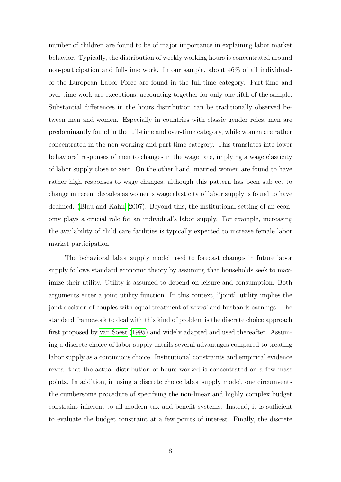number of children are found to be of major importance in explaining labor market behavior. Typically, the distribution of weekly working hours is concentrated around non-participation and full-time work. In our sample, about 46% of all individuals of the European Labor Force are found in the full-time category. Part-time and over-time work are exceptions, accounting together for only one fifth of the sample. Substantial differences in the hours distribution can be traditionally observed between men and women. Especially in countries with classic gender roles, men are predominantly found in the full-time and over-time category, while women are rather concentrated in the non-working and part-time category. This translates into lower behavioral responses of men to changes in the wage rate, implying a wage elasticity of labor supply close to zero. On the other hand, married women are found to have rather high responses to wage changes, although this pattern has been subject to change in recent decades as women's wage elasticity of labor supply is found to have declined. [\(Blau and Kahn, 2007\)](#page-19-4). Beyond this, the institutional setting of an economy plays a crucial role for an individual's labor supply. For example, increasing the availability of child care facilities is typically expected to increase female labor market participation.

The behavioral labor supply model used to forecast changes in future labor supply follows standard economic theory by assuming that households seek to maximize their utility. Utility is assumed to depend on leisure and consumption. Both arguments enter a joint utility function. In this context, "joint" utility implies the joint decision of couples with equal treatment of wives' and husbands earnings. The standard framework to deal with this kind of problem is the discrete choice approach first proposed by [van Soest](#page-20-0) [\(1995\)](#page-20-0) and widely adapted and used thereafter. Assuming a discrete choice of labor supply entails several advantages compared to treating labor supply as a continuous choice. Institutional constraints and empirical evidence reveal that the actual distribution of hours worked is concentrated on a few mass points. In addition, in using a discrete choice labor supply model, one circumvents the cumbersome procedure of specifying the non-linear and highly complex budget constraint inherent to all modern tax and benefit systems. Instead, it is sufficient to evaluate the budget constraint at a few points of interest. Finally, the discrete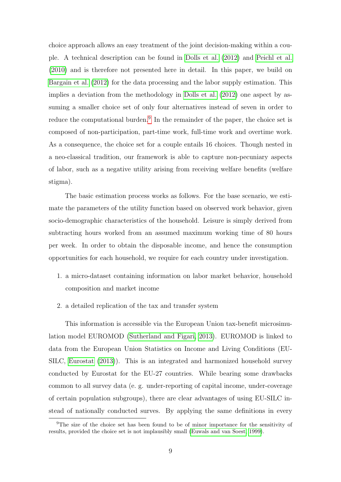choice approach allows an easy treatment of the joint decision-making within a couple. A technical description can be found in [Dolls et al.](#page-19-1) [\(2012\)](#page-19-1) and [Peichl et al.](#page-19-5) [\(2010\)](#page-19-5) and is therefore not presented here in detail. In this paper, we build on [Bargain et al.](#page-19-6) [\(2012\)](#page-19-6) for the data processing and the labor supply estimation. This implies a deviation from the methodology in [Dolls et al.](#page-19-1) [\(2012\)](#page-19-1) one aspect by assuming a smaller choice set of only four alternatives instead of seven in order to reduce the computational burden.<sup>[9](#page-9-0)</sup> In the remainder of the paper, the choice set is composed of non-participation, part-time work, full-time work and overtime work. As a consequence, the choice set for a couple entails 16 choices. Though nested in a neo-classical tradition, our framework is able to capture non-pecuniary aspects of labor, such as a negative utility arising from receiving welfare benefits (welfare stigma).

The basic estimation process works as follows. For the base scenario, we estimate the parameters of the utility function based on observed work behavior, given socio-demographic characteristics of the household. Leisure is simply derived from subtracting hours worked from an assumed maximum working time of 80 hours per week. In order to obtain the disposable income, and hence the consumption opportunities for each household, we require for each country under investigation.

- 1. a micro-dataset containing information on labor market behavior, household composition and market income
- 2. a detailed replication of the tax and transfer system

This information is accessible via the European Union tax-benefit microsimulation model EUROMOD [\(Sutherland and Figari, 2013\)](#page-20-1). EUROMOD is linked to data from the European Union Statistics on Income and Living Conditions (EU-SILC, [Eurostat](#page-19-7) [\(2013\)](#page-19-7)). This is an integrated and harmonized household survey conducted by Eurostat for the EU-27 countries. While bearing some drawbacks common to all survey data (e. g. under-reporting of capital income, under-coverage of certain population subgroups), there are clear advantages of using EU-SILC instead of nationally conducted surves. By applying the same definitions in every

<span id="page-9-0"></span><sup>9</sup>The size of the choice set has been found to be of minor importance for the sensitivity of results, provided the choice set is not implausibly small [\(Euwals and van Soest, 1999\)](#page-19-8).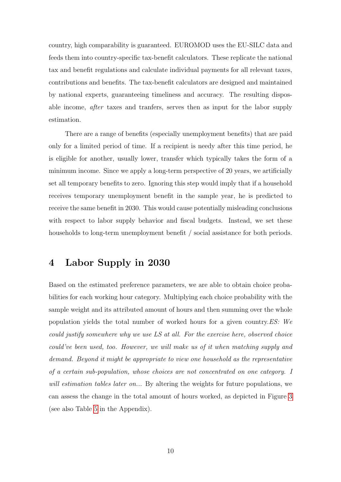country, high comparability is guaranteed. EUROMOD uses the EU-SILC data and feeds them into country-specific tax-benefit calculators. These replicate the national tax and benefit regulations and calculate individual payments for all relevant taxes, contributions and benefits. The tax-benefit calculators are designed and maintained by national experts, guaranteeing timeliness and accuracy. The resulting disposable income, after taxes and tranfers, serves then as input for the labor supply estimation.

There are a range of benefits (especially unemployment benefits) that are paid only for a limited period of time. If a recipient is needy after this time period, he is eligible for another, usually lower, transfer which typically takes the form of a minimum income. Since we apply a long-term perspective of 20 years, we artificially set all temporary benefits to zero. Ignoring this step would imply that if a household receives temporary unemployment benefit in the sample year, he is predicted to receive the same benefit in 2030. This would cause potentially misleading conclusions with respect to labor supply behavior and fiscal budgets. Instead, we set these households to long-term unemployment benefit / social assistance for both periods.

#### <span id="page-10-0"></span>4 Labor Supply in 2030

Based on the estimated preference parameters, we are able to obtain choice probabilities for each working hour category. Multiplying each choice probability with the sample weight and its attributed amount of hours and then summing over the whole population yields the total number of worked hours for a given country.ES: We could justify somewhere why we use LS at all. For the exercise here, observed choice could've been used, too. However, we will make us of it when matching supply and demand. Beyond it might be appropriate to view one household as the representative of a certain sub-population, whose choices are not concentrated on one category. I will estimation tables later on... By altering the weights for future populations, we can assess the change in the total amount of hours worked, as depicted in Figure [3](#page-11-0) (see also Table [5](#page-24-0) in the Appendix).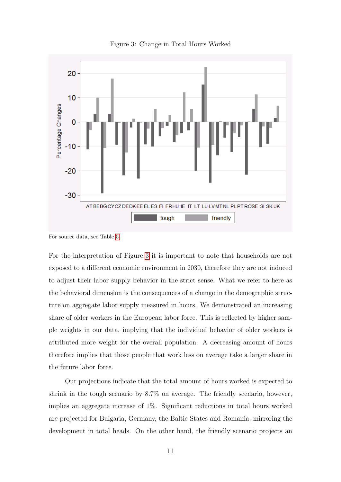<span id="page-11-0"></span>

Figure 3: Change in Total Hours Worked

For the interpretation of Figure [3](#page-11-0) it is important to note that households are not exposed to a different economic environment in 2030, therefore they are not induced to adjust their labor supply behavior in the strict sense. What we refer to here as the behavioral dimension is the consequences of a change in the demographic structure on aggregate labor supply measured in hours. We demonstrated an increasing share of older workers in the European labor force. This is reflected by higher sample weights in our data, implying that the individual behavior of older workers is attributed more weight for the overall population. A decreasing amount of hours therefore implies that those people that work less on average take a larger share in the future labor force.

Our projections indicate that the total amount of hours worked is expected to shrink in the tough scenario by 8.7% on average. The friendly scenario, however, implies an aggregate increase of 1%. Significant reductions in total hours worked are projected for Bulgaria, Germany, the Baltic States and Romania, mirroring the development in total heads. On the other hand, the friendly scenario projects an

For source data, see Table [5](#page-24-0)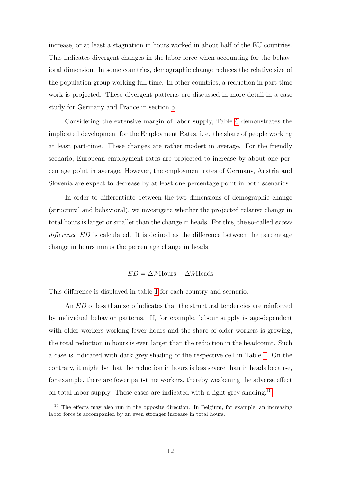increase, or at least a stagnation in hours worked in about half of the EU countries. This indicates divergent changes in the labor force when accounting for the behavioral dimension. In some countries, demographic change reduces the relative size of the population group working full time. In other countries, a reduction in part-time work is projected. These divergent patterns are discussed in more detail in a case study for Germany and France in section [5.](#page-15-0)

Considering the extensive margin of labor supply, Table [6](#page-25-0) demonstrates the implicated development for the Employment Rates, i. e. the share of people working at least part-time. These changes are rather modest in average. For the friendly scenario, European employment rates are projected to increase by about one percentage point in average. However, the employment rates of Germany, Austria and Slovenia are expect to decrease by at least one percentage point in both scenarios.

In order to differentiate between the two dimensions of demographic change (structural and behavioral), we investigate whether the projected relative change in total hours is larger or smaller than the change in heads. For this, the so-called excess difference ED is calculated. It is defined as the difference between the percentage change in hours minus the percentage change in heads.

#### $ED = \Delta\%$ Hours –  $\Delta\%$ Heads

This difference is displayed in table [1](#page-13-0) for each country and scenario.

An ED of less than zero indicates that the structural tendencies are reinforced by individual behavior patterns. If, for example, labour supply is age-dependent with older workers working fewer hours and the share of older workers is growing, the total reduction in hours is even larger than the reduction in the headcount. Such a case is indicated with dark grey shading of the respective cell in Table [1.](#page-13-0) On the contrary, it might be that the reduction in hours is less severe than in heads because, for example, there are fewer part-time workers, thereby weakening the adverse effect on total labor supply. These cases are indicated with a light grey shading.[10](#page-12-0)

<span id="page-12-0"></span><sup>&</sup>lt;sup>10</sup> The effects may also run in the opposite direction. In Belgium, for example, an increasing labor force is accompanied by an even stronger increase in total hours.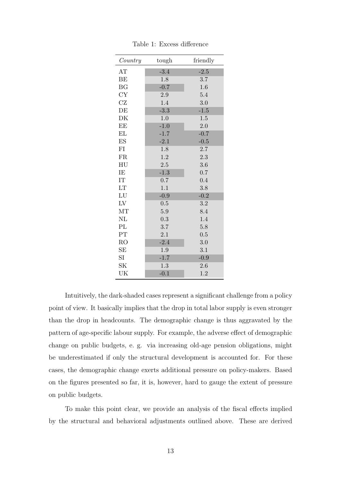<span id="page-13-0"></span>

| Country    | tough  | friendly |
|------------|--------|----------|
| AT         | $-3.4$ | $-2.5$   |
| BE         | 1.8    | 3.7      |
| <b>BG</b>  | $-0.7$ | 1.6      |
| <b>CY</b>  | 2.9    | 5.4      |
| CZ         | 1.4    | 3.0      |
| DE         | $-3.3$ | $-1.5$   |
| DK         | 1.0    | 1.5      |
| EE         | $-1.0$ | 2.0      |
| EL         | $-1.7$ | $-0.7$   |
| ES         | $-2.1$ | $-0.5$   |
| FI         | 1.8    | 2.7      |
| <b>FR</b>  | 1.2    | 2.3      |
| HU         | 2.5    | 3.6      |
| IE         | $-1.3$ | 0.7      |
| IT         | 0.7    | 0.4      |
| LT         | 1.1    | 3.8      |
| ${\rm LU}$ | $-0.9$ | $-0.2$   |
| LV         | 0.5    | 3.2      |
| MT         | 5.9    | 8.4      |
| NL         | 0.3    | 1.4      |
| PL         | 3.7    | 5.8      |
| PT         | 2.1    | 0.5      |
| RO         | $-2.4$ | 3.0      |
| SE         | 1.9    | 3.1      |
| SI         | $-1.7$ | $-0.9$   |
| $\rm SK$   | 1.3    | 2.6      |
| UK         | $-0.1$ | 1.2      |

Table 1: Excess difference

Intuitively, the dark-shaded cases represent a significant challenge from a policy point of view. It basically implies that the drop in total labor supply is even stronger than the drop in headcounts. The demographic change is thus aggravated by the pattern of age-specific labour supply. For example, the adverse effect of demographic change on public budgets, e. g. via increasing old-age pension obligations, might be underestimated if only the structural development is accounted for. For these cases, the demographic change exerts additional pressure on policy-makers. Based on the figures presented so far, it is, however, hard to gauge the extent of pressure on public budgets.

To make this point clear, we provide an analysis of the fiscal effects implied by the structural and behavioral adjustments outlined above. These are derived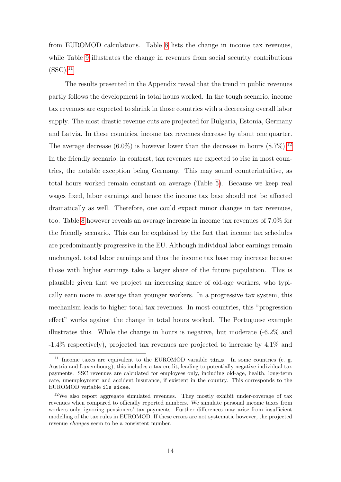from EUROMOD calculations. Table [8](#page-27-0) lists the change in income tax revenues, while Table [9](#page-28-0) illustrates the change in revenues from social security contributions  $(SSC).$ <sup>[11](#page-14-0)</sup>

The results presented in the Appendix reveal that the trend in public revenues partly follows the development in total hours worked. In the tough scenario, income tax revenues are expected to shrink in those countries with a decreasing overall labor supply. The most drastic revenue cuts are projected for Bulgaria, Estonia, Germany and Latvia. In these countries, income tax revenues decrease by about one quarter. The average decrease  $(6.0\%)$  is however lower than the decrease in hours  $(8.7\%)$ .<sup>[12](#page-14-1)</sup> In the friendly scenario, in contrast, tax revenues are expected to rise in most countries, the notable exception being Germany. This may sound counterintuitive, as total hours worked remain constant on average (Table [5\)](#page-24-0). Because we keep real wages fixed, labor earnings and hence the income tax base should not be affected dramatically as well. Therefore, one could expect minor changes in tax revenues, too. Table [8](#page-27-0) however reveals an average increase in income tax revenues of 7.0% for the friendly scenario. This can be explained by the fact that income tax schedules are predominantly progressive in the EU. Although individual labor earnings remain unchanged, total labor earnings and thus the income tax base may increase because those with higher earnings take a larger share of the future population. This is plausible given that we project an increasing share of old-age workers, who typically earn more in average than younger workers. In a progressive tax system, this mechanism leads to higher total tax revenues. In most countries, this "progression effect" works against the change in total hours worked. The Portuguese example illustrates this. While the change in hours is negative, but moderate  $(-6.2\%$  and -1.4% respectively), projected tax revenues are projected to increase by 4.1% and

<span id="page-14-0"></span> $11$  Income taxes are equivalent to the EUROMOD variable  $t$ in s. In some countries (e. g. Austria and Luxembourg), this includes a tax credit, leading to potentially negative individual tax payments. SSC revenues are calculated for employees only, including old-age, health, long-term care, unemployment and accident insurance, if existent in the country. This corresponds to the EUROMOD variable ils\_sicee.

<span id="page-14-1"></span><sup>12</sup>We also report aggregate simulated revenues. They mostly exhibit under-coverage of tax revenues when compared to officially reported numbers. We simulate personal income taxes from workers only, ignoring pensioners' tax payments. Further differences may arise from insufficient modelling of the tax rules in EUROMOD. If these errors are not systematic however, the projected revenue changes seem to be a consistent number.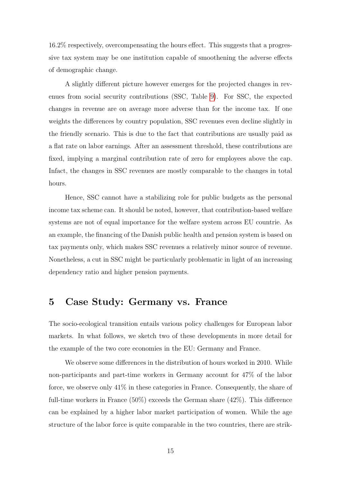16.2% respectively, overcompensating the hours effect. This suggests that a progressive tax system may be one institution capable of smoothening the adverse effects of demographic change.

A slightly different picture however emerges for the projected changes in revenues from social security contributions (SSC, Table [9\)](#page-28-0). For SSC, the expected changes in revenue are on average more adverse than for the income tax. If one weights the differences by country population, SSC revenues even decline slightly in the friendly scenario. This is due to the fact that contributions are usually paid as a flat rate on labor earnings. After an assessment threshold, these contributions are fixed, implying a marginal contribution rate of zero for employees above the cap. Infact, the changes in SSC revenues are mostly comparable to the changes in total hours.

Hence, SSC cannot have a stabilizing role for public budgets as the personal income tax scheme can. It should be noted, however, that contribution-based welfare systems are not of equal importance for the welfare system across EU countrie. As an example, the financing of the Danish public health and pension system is based on tax payments only, which makes SSC revenues a relatively minor source of revenue. Nonetheless, a cut in SSC might be particularly problematic in light of an increasing dependency ratio and higher pension payments.

#### <span id="page-15-0"></span>5 Case Study: Germany vs. France

The socio-ecological transition entails various policy challenges for European labor markets. In what follows, we sketch two of these developments in more detail for the example of the two core economies in the EU: Germany and France.

We observe some differences in the distribution of hours worked in 2010. While non-participants and part-time workers in Germany account for 47% of the labor force, we observe only 41% in these categories in France. Consequently, the share of full-time workers in France (50%) exceeds the German share (42%). This difference can be explained by a higher labor market participation of women. While the age structure of the labor force is quite comparable in the two countries, there are strik-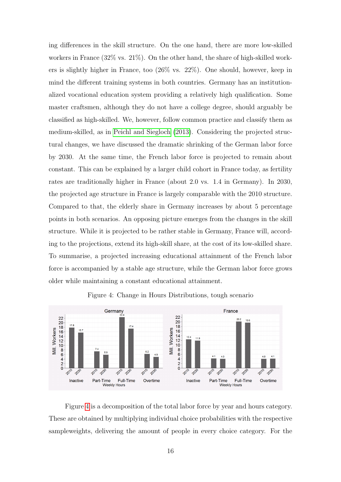ing differences in the skill structure. On the one hand, there are more low-skilled workers in France (32% vs. 21%). On the other hand, the share of high-skilled workers is slightly higher in France, too (26% vs. 22%). One should, however, keep in mind the different training systems in both countries. Germany has an institutionalized vocational education system providing a relatively high qualification. Some master craftsmen, although they do not have a college degree, should arguably be classified as high-skilled. We, however, follow common practice and classify them as medium-skilled, as in [Peichl and Siegloch](#page-19-9) [\(2013\)](#page-19-9). Considering the projected structural changes, we have discussed the dramatic shrinking of the German labor force by 2030. At the same time, the French labor force is projected to remain about constant. This can be explained by a larger child cohort in France today, as fertility rates are traditionally higher in France (about 2.0 vs. 1.4 in Germany). In 2030, the projected age structure in France is largely comparable with the 2010 structure. Compared to that, the elderly share in Germany increases by about 5 percentage points in both scenarios. An opposing picture emerges from the changes in the skill structure. While it is projected to be rather stable in Germany, France will, according to the projections, extend its high-skill share, at the cost of its low-skilled share. To summarise, a projected increasing educational attainment of the French labor force is accompanied by a stable age structure, while the German labor force grows older while maintaining a constant educational attainment.

<span id="page-16-0"></span>

Figure 4: Change in Hours Distributions, tough scenario

Figure [4](#page-16-0) is a decomposition of the total labor force by year and hours category. These are obtained by multiplying individual choice probabilities with the respective sampleweights, delivering the amount of people in every choice category. For the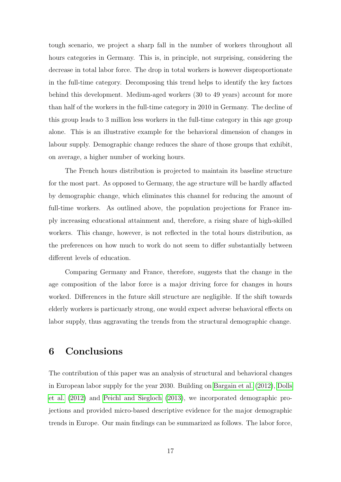tough scenario, we project a sharp fall in the number of workers throughout all hours categories in Germany. This is, in principle, not surprising, considering the decrease in total labor force. The drop in total workers is however disproportionate in the full-time category. Decomposing this trend helps to identify the key factors behind this development. Medium-aged workers (30 to 49 years) account for more than half of the workers in the full-time category in 2010 in Germany. The decline of this group leads to 3 million less workers in the full-time category in this age group alone. This is an illustrative example for the behavioral dimension of changes in labour supply. Demographic change reduces the share of those groups that exhibit, on average, a higher number of working hours.

The French hours distribution is projected to maintain its baseline structure for the most part. As opposed to Germany, the age structure will be hardly affacted by demographic change, which eliminates this channel for reducing the amount of full-time workers. As outlined above, the population projections for France imply increasing educational attainment and, therefore, a rising share of high-skilled workers. This change, however, is not reflected in the total hours distribution, as the preferences on how much to work do not seem to differ substantially between different levels of education.

Comparing Germany and France, therefore, suggests that the change in the age composition of the labor force is a major driving force for changes in hours worked. Differences in the future skill structure are negligible. If the shift towards elderly workers is particuarly strong, one would expect adverse behavioral effects on labor supply, thus aggravating the trends from the structural demographic change.

### <span id="page-17-0"></span>6 Conclusions

The contribution of this paper was an analysis of structural and behavioral changes in European labor supply for the year 2030. Building on [Bargain et al.](#page-19-6) [\(2012\)](#page-19-6), [Dolls](#page-19-1) [et al.](#page-19-1) [\(2012\)](#page-19-1) and [Peichl and Siegloch](#page-19-9) [\(2013\)](#page-19-9), we incorporated demographic projections and provided micro-based descriptive evidence for the major demographic trends in Europe. Our main findings can be summarized as follows. The labor force,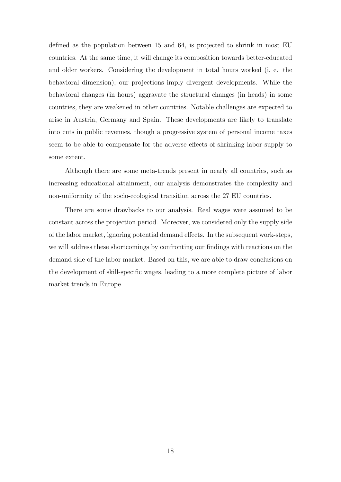defined as the population between 15 and 64, is projected to shrink in most EU countries. At the same time, it will change its composition towards better-educated and older workers. Considering the development in total hours worked (i. e. the behavioral dimension), our projections imply divergent developments. While the behavioral changes (in hours) aggravate the structural changes (in heads) in some countries, they are weakened in other countries. Notable challenges are expected to arise in Austria, Germany and Spain. These developments are likely to translate into cuts in public revenues, though a progressive system of personal income taxes seem to be able to compensate for the adverse effects of shrinking labor supply to some extent.

Although there are some meta-trends present in nearly all countries, such as increasing educational attainment, our analysis demonstrates the complexity and non-uniformity of the socio-ecological transition across the 27 EU countries.

There are some drawbacks to our analysis. Real wages were assumed to be constant across the projection period. Moreover, we considered only the supply side of the labor market, ignoring potential demand effects. In the subsequent work-steps, we will address these shortcomings by confronting our findings with reactions on the demand side of the labor market. Based on this, we are able to draw conclusions on the development of skill-specific wages, leading to a more complete picture of labor market trends in Europe.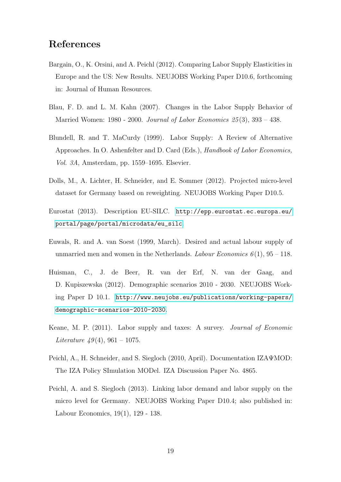# References

- <span id="page-19-6"></span>Bargain, O., K. Orsini, and A. Peichl (2012). Comparing Labor Supply Elasticities in Europe and the US: New Results. NEUJOBS Working Paper D10.6, forthcoming in: Journal of Human Resources.
- <span id="page-19-4"></span>Blau, F. D. and L. M. Kahn (2007). Changes in the Labor Supply Behavior of Married Women: 1980 - 2000. Journal of Labor Economics  $25(3)$ , 393 - 438.
- <span id="page-19-2"></span>Blundell, R. and T. MaCurdy (1999). Labor Supply: A Review of Alternative Approaches. In O. Ashenfelter and D. Card (Eds.), Handbook of Labor Economics, Vol. 3A, Amsterdam, pp. 1559–1695. Elsevier.
- <span id="page-19-1"></span>Dolls, M., A. Lichter, H. Schneider, and E. Sommer (2012). Projected micro-level dataset for Germany based on reweighting. NEUJOBS Working Paper D10.5.
- <span id="page-19-7"></span>Eurostat (2013). Description EU-SILC. [http://epp.eurostat.ec.europa.eu/](http://epp.eurostat.ec.europa.eu/portal/page/portal/microdata/eu_silc) [portal/page/portal/microdata/eu\\_silc](http://epp.eurostat.ec.europa.eu/portal/page/portal/microdata/eu_silc).
- <span id="page-19-8"></span>Euwals, R. and A. van Soest (1999, March). Desired and actual labour supply of unmarried men and women in the Netherlands. Labour Economics  $6(1)$ ,  $95 - 118$ .
- <span id="page-19-0"></span>Huisman, C., J. de Beer, R. van der Erf, N. van der Gaag, and D. Kupiszewska (2012). Demographic scenarios 2010 - 2030. NEUJOBS Working Paper D 10.1. [http://www.neujobs.eu/publications/working-papers/](http://www.neujobs.eu/publications/working-papers/demographic-scenarios-2010-2030) [demographic-scenarios-2010-2030](http://www.neujobs.eu/publications/working-papers/demographic-scenarios-2010-2030).
- <span id="page-19-3"></span>Keane, M. P. (2011). Labor supply and taxes: A survey. Journal of Economic Literature  $49(4)$ , 961 – 1075.
- <span id="page-19-5"></span>Peichl, A., H. Schneider, and S. Siegloch (2010, April). Documentation IZAΨMOD: The IZA Policy SImulation MODel. IZA Discussion Paper No. 4865.
- <span id="page-19-9"></span>Peichl, A. and S. Siegloch (2013). Linking labor demand and labor supply on the micro level for Germany. NEUJOBS Working Paper D10.4; also published in: Labour Economics, 19(1), 129 - 138.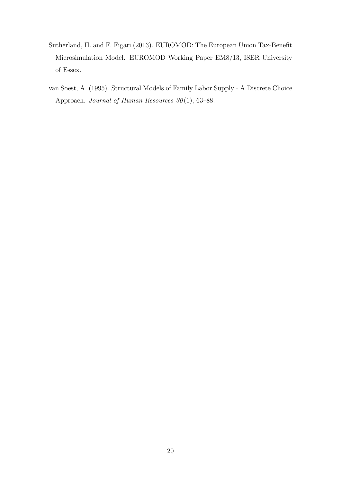- <span id="page-20-1"></span>Sutherland, H. and F. Figari (2013). EUROMOD: The European Union Tax-Benefit Microsimulation Model. EUROMOD Working Paper EM8/13, ISER University of Essex.
- <span id="page-20-0"></span>van Soest, A. (1995). Structural Models of Family Labor Supply - A Discrete Choice Approach. Journal of Human Resources  $30(1)$ , 63–88.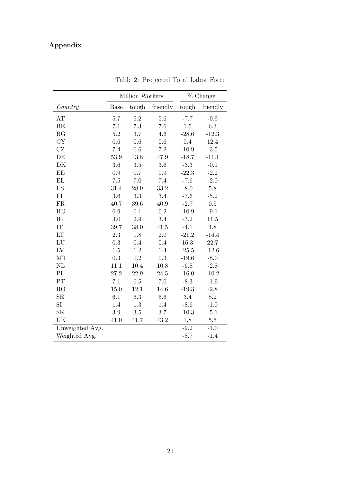# Appendix

<span id="page-21-0"></span>

|                          |             | Million Workers | % Change  |         |                 |
|--------------------------|-------------|-----------------|-----------|---------|-----------------|
| Country                  | <b>Base</b> | tough           | friendly  | tough   | friendly        |
| AT                       | 5.7         | $5.2\,$         | 5.6       | $-7.7$  | $-0.9$          |
| BE                       | 7.1         | 7.3             | 7.6       | $1.5\,$ | 6.3             |
| BG                       | $5.2\,$     | 3.7             | 4.6       | $-28.6$ | $-12.3$         |
| CY                       | 0.6         | 0.6             | 0.6       | 0.4     | 12.4            |
| CZ                       | 7.4         | 6.6             | $7.2\,$   | $-10.9$ | $-3.5$          |
| DE                       | 53.9        | 43.8            | 47.9      | $-18.7$ | $-11.1$         |
| DK                       | $3.6\,$     | $3.5\,$         | $3.6\,$   | $-3.3$  | $-0.1$          |
| EE                       | 0.9         | 0.7             | $\rm 0.9$ | $-22.3$ | $-2.2$          |
| EL                       | $7.5\,$     | $7.0\,$         | $7.4\,$   | $-7.6$  | $-2.0$          |
| ES                       | 31.4        | 28.9            | 33.2      | $-8.0$  | $5.8\,$         |
| FI                       | $3.6\,$     | 3.3             | $3.4\,$   | $-7.6$  | $-5.2$          |
| FR                       | 40.7        | 39.6            | 40.9      | $-2.7$  | $0.5\,$         |
| HU                       | 6.9         | 6.1             | $6.2\,$   | $-10.9$ | $-9.1$          |
| IE                       | 3.0         | $2.9\,$         | 3.4       | $-3.2$  | 11.5            |
| $\ensuremath{\text{IT}}$ | 39.7        | 38.0            | 41.5      | $-4.1$  | $4.8\,$         |
| LT                       | 2.3         | 1.8             | $2.0\,$   | $-21.2$ | $-14.4$         |
| ${\rm LU}$               | $\rm 0.3$   | 0.4             | 0.4       | 16.3    | $22.7\,$        |
| ${\rm LV}$               | $1.5\,$     | 1.2             | 1.4       | $-25.5$ | $-12.6$         |
| MT                       | $\rm 0.3$   | $\rm 0.2$       | $\rm 0.3$ | $-19.6$ | $-8.0$          |
| NL                       | 11.1        | 10.4            | 10.8      | $-6.8$  | $-2.8$          |
| PL                       | 27.2        | 22.9            | 24.5      | $-16.0$ | $-10.2$         |
| PT                       | 7.1         | $6.5\,$         | 7.0       | $-8.3$  | $-1.9$          |
| R <sub>O</sub>           | 15.0        | 12.1            | 14.6      | $-19.3$ | $-2.8$          |
| SE                       | 6.1         | $6.3\,$         | 6.6       | $3.4\,$ | $\!\!\!\!\!8.2$ |
| SI                       | 1.4         | 1.3             | 1.4       | $-8.6$  | $-1.0$          |
| SK                       | $3.9\,$     | $3.5\,$         | 3.7       | $-10.3$ | $-5.1$          |
| UK                       | 41.0        | 41.7            | 43.2      | 1.8     | $5.5\,$         |
| Unweighted Avg.          |             |                 |           | $-9.2$  | $-1.0$          |
| Weighted Avg.            |             |                 |           | $-8.7$  | $-1.4$          |

Table 2: Projected Total Labor Force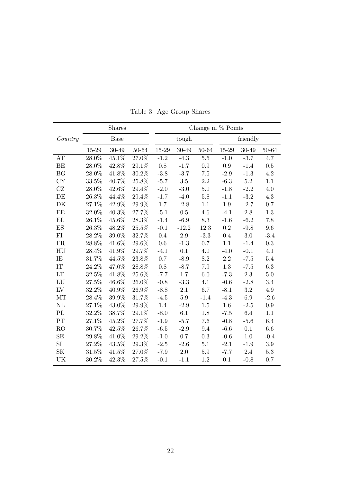<span id="page-22-0"></span>

|                     | Shares<br>Change in $%$ Points |          |       |           |         |                 |           |          |         |  |
|---------------------|--------------------------------|----------|-------|-----------|---------|-----------------|-----------|----------|---------|--|
| Country             | Base                           |          |       |           | tough   |                 |           | friendly |         |  |
|                     | 15-29                          | 30-49    | 50-64 | $15 - 29$ | 30-49   | 50-64           | 15-29     | 30-49    | 50-64   |  |
| AT                  | 28.0%                          | $45.1\%$ | 27.0% | $-1.2$    | $-4.3$  | $5.5\,$         | $-1.0$    | $-3.7$   | 4.7     |  |
| <b>BE</b>           | 28.0%                          | 42.8%    | 29.1% | 0.8       | $-1.7$  | 0.9             | 0.9       | $-1.4$   | 0.5     |  |
| <b>BG</b>           | 28.0%                          | 41.8%    | 30.2% | $-3.8$    | $-3.7$  | 7.5             | $-2.9$    | $-1.3$   | 4.2     |  |
| CY                  | 33.5%                          | 40.7%    | 25.8% | $-5.7$    | $3.5\,$ | $2.2\,$         | $-6.3$    | $5.2\,$  | 1.1     |  |
| $\operatorname{CZ}$ | 28.0%                          | 42.6%    | 29.4% | $-2.0$    | $-3.0$  | 5.0             | $-1.8$    | $-2.2$   | 4.0     |  |
| DE                  | 26.3%                          | 44.4%    | 29.4% | $-1.7$    | $-4.0$  | $5.8\,$         | $-1.1$    | $-3.2$   | 4.3     |  |
| DK                  | 27.1%                          | 42.9%    | 29.9% | 1.7       | $-2.8$  | 1.1             | 1.9       | $-2.7$   | 0.7     |  |
| EE                  | 32.0%                          | 40.3%    | 27.7% | $-5.1$    | $0.5\,$ | 4.6             | $-4.1$    | $2.8\,$  | 1.3     |  |
| EL                  | 26.1%                          | 45.6%    | 28.3% | $-1.4$    | $-6.9$  | $\!\!\!\!\!8.3$ | $-1.6$    | $-6.2$   | 7.8     |  |
| ES                  | 26.3%                          | 48.2%    | 25.5% | $-0.1$    | $-12.2$ | 12.3            | $\rm 0.2$ | $-9.8$   | 9.6     |  |
| FI                  | 28.2%                          | 39.0%    | 32.7% | 0.4       | 2.9     | $-3.3$          | 0.4       | $3.0\,$  | $-3.4$  |  |
| FR                  | 28.8%                          | 41.6%    | 29.6% | 0.6       | $-1.3$  | 0.7             | 1.1       | $-1.4$   | 0.3     |  |
| HU                  | 28.4%                          | 41.9%    | 29.7% | $-4.1$    | 0.1     | 4.0             | $-4.0$    | $-0.1$   | 4.1     |  |
| IE                  | 31.7%                          | 44.5%    | 23.8% | 0.7       | $-8.9$  | $8.2\,$         | $2.2\,$   | $-7.5$   | $5.4\,$ |  |
| IT                  | 24.2%                          | 47.0%    | 28.8% | 0.8       | $-8.7$  | 7.9             | 1.3       | $-7.5$   | 6.3     |  |
| LT                  | 32.5%                          | 41.8%    | 25.6% | $-7.7$    | $1.7\,$ | 6.0             | $-7.3$    | $2.3\,$  | 5.0     |  |
| LU                  | 27.5%                          | 46.6%    | 26.0% | $-0.8$    | $-3.3$  | 4.1             | $-0.6$    | $-2.8$   | 3.4     |  |
| ${\rm LV}$          | 32.2%                          | 40.9%    | 26.9% | $-8.8$    | $2.1\,$ | 6.7             | $-8.1$    | $3.2\,$  | 4.9     |  |
| $\rm{MT}$           | 28.4%                          | 39.9%    | 31.7% | $-4.5$    | $5.9\,$ | $-1.4$          | $-4.3$    | 6.9      | $-2.6$  |  |
| NL                  | 27.1%                          | 43.0%    | 29.9% | 1.4       | $-2.9$  | $1.5\,$         | $1.6\,$   | $-2.5$   | 0.9     |  |
| PL                  | 32.2%                          | 38.7%    | 29.1% | $-8.0$    | 6.1     | 1.8             | $-7.5$    | 6.4      | 1.1     |  |
| PT                  | 27.1%                          | 45.2%    | 27.7% | $-1.9$    | $-5.7$  | 7.6             | $-0.8$    | $-5.6$   | 6.4     |  |
| R <sub>O</sub>      | 30.7%                          | 42.5%    | 26.7% | $-6.5$    | $-2.9$  | 9.4             | $-6.6$    | 0.1      | 6.6     |  |
| SE                  | 29.8%                          | 41.0%    | 29.2% | $-1.0$    | 0.7     | 0.3             | $-0.6$    | 1.0      | $-0.4$  |  |
| SI                  | 27.2%                          | 43.5%    | 29.3% | $-2.5$    | $-2.6$  | 5.1             | $-2.1$    | $-1.9$   | $3.9\,$ |  |
| SK                  | 31.5%                          | 41.5%    | 27.0% | $-7.9$    | 2.0     | $5.9\,$         | $-7.7$    | $2.4\,$  | 5.3     |  |
| UK                  | 30.2%                          | 42.3%    | 27.5% | $-0.1$    | $-1.1$  | 1.2             | 0.1       | $-0.8$   | 0.7     |  |

Table 3: Age Group Shares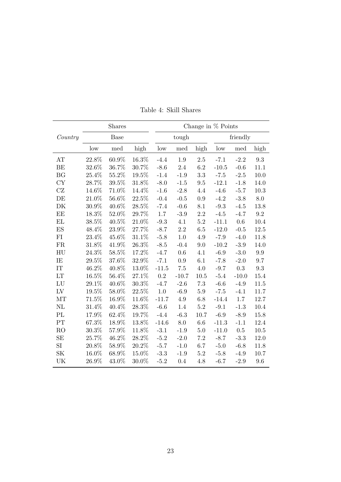<span id="page-23-0"></span>

|                |             | Shares   | Change in $%$ Points |         |         |         |         |          |           |  |
|----------------|-------------|----------|----------------------|---------|---------|---------|---------|----------|-----------|--|
| Country        | <b>Base</b> |          |                      |         | tough   |         |         | friendly |           |  |
|                | low         | med      | high                 | low     | med     | high    | low     | med      | high      |  |
| AT             | 22.8%       | 60.9%    | 16.3%                | $-4.4$  | 1.9     | $2.5\,$ | $-7.1$  | $-2.2$   | 9.3       |  |
| BE             | 32.6%       | 36.7%    | 30.7%                | $-8.6$  | 2.4     | 6.2     | $-10.5$ | $-0.6$   | 11.1      |  |
| <b>BG</b>      | 25.4%       | 55.2%    | 19.5%                | $-1.4$  | $-1.9$  | 3.3     | $-7.5$  | $-2.5$   | 10.0      |  |
| <b>CY</b>      | 28.7%       | 39.5%    | 31.8%                | $-8.0$  | $-1.5$  | 9.5     | $-12.1$ | $-1.8$   | 14.0      |  |
| CZ             | 14.6%       | 71.0%    | 14.4%                | $-1.6$  | $-2.8$  | 4.4     | $-4.6$  | $-5.7$   | $10.3\,$  |  |
| DE             | 21.0%       | 56.6%    | 22.5%                | $-0.4$  | $-0.5$  | $0.9\,$ | $-4.2$  | $-3.8$   | $8.0\,$   |  |
| DK             | $30.9\%$    | 40.6%    | $28.5\%$             | $-7.4$  | $-0.6$  | 8.1     | $-9.3$  | $-4.5$   | 13.8      |  |
| EE             | 18.3%       | 52.0%    | 29.7%                | 1.7     | $-3.9$  | $2.2\,$ | $-4.5$  | $-4.7$   | $\rm 9.2$ |  |
| EL             | $38.5\%$    | $40.5\%$ | $21.0\%$             | $-9.3$  | 4.1     | 5.2     | $-11.1$ | $0.6\,$  | 10.4      |  |
| ES             | 48.4%       | 23.9%    | 27.7%                | $-8.7$  | 2.2     | 6.5     | $-12.0$ | $-0.5$   | 12.5      |  |
| FI             | 23.4%       | 45.6%    | 31.1%                | $-5.8$  | 1.0     | 4.9     | $-7.9$  | $-4.0$   | 11.8      |  |
| <b>FR</b>      | 31.8%       | $41.9\%$ | $26.3\%$             | $-8.5$  | $-0.4$  | 9.0     | $-10.2$ | $-3.9$   | 14.0      |  |
| HU             | 24.3%       | 58.5%    | 17.2%                | $-4.7$  | 0.6     | 4.1     | $-6.9$  | $-3.0$   | 9.9       |  |
| IE             | 29.5%       | 37.6%    | $32.9\%$             | $-7.1$  | 0.9     | 6.1     | $-7.8$  | $-2.0$   | 9.7       |  |
| IT             | 46.2%       | 40.8%    | 13.0%                | $-11.5$ | 7.5     | 4.0     | $-9.7$  | 0.3      | $\rm 9.3$ |  |
| LT             | 16.5%       | 56.4%    | 27.1%                | 0.2     | $-10.7$ | 10.5    | $-5.4$  | $-10.0$  | 15.4      |  |
| LU             | 29.1%       | 40.6%    | 30.3%                | $-4.7$  | $-2.6$  | 7.3     | $-6.6$  | $-4.9$   | 11.5      |  |
| LV             | 19.5%       | 58.0%    | $22.5\%$             | 1.0     | $-6.9$  | $5.9\,$ | $-7.5$  | $-4.1$   | 11.7      |  |
| MT             | 71.5%       | 16.9%    | 11.6%                | $-11.7$ | $4.9\,$ | $6.8\,$ | $-14.4$ | $1.7\,$  | 12.7      |  |
| NL             | 31.4%       | 40.4%    | 28.3%                | $-6.6$  | 1.4     | $5.2\,$ | $-9.1$  | $-1.3$   | 10.4      |  |
| PL             | $17.9\%$    | 62.4%    | 19.7%                | $-4.4$  | $-6.3$  | 10.7    | $-6.9$  | $-8.9$   | 15.8      |  |
| PT             | 67.3%       | 18.9%    | 13.8%                | $-14.6$ | 8.0     | 6.6     | $-11.3$ | $-1.1$   | 12.4      |  |
| R <sub>O</sub> | 30.3%       | 57.9%    | 11.8%                | $-3.1$  | $-1.9$  | 5.0     | $-11.0$ | 0.5      | 10.5      |  |
| SE             | 25.7%       | $46.2\%$ | 28.2%                | $-5.2$  | $-2.0$  | 7.2     | $-8.7$  | $-3.3$   | 12.0      |  |
| SI             | 20.8%       | 58.9%    | 20.2%                | $-5.7$  | $-1.0$  | 6.7     | $-5.0$  | $-6.8$   | 11.8      |  |
| <b>SK</b>      | 16.0%       | 68.9%    | 15.0%                | $-3.3$  | $-1.9$  | 5.2     | $-5.8$  | $-4.9$   | 10.7      |  |
| UK             | 26.9%       | 43.0%    | 30.0%                | $-5.2$  | 0.4     | 4.8     | $-6.7$  | $-2.9$   | 9.6       |  |

Table 4: Skill Shares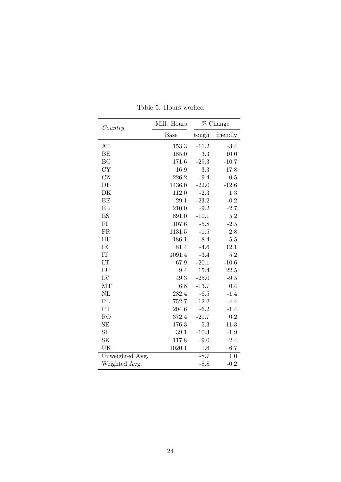<span id="page-24-0"></span>

| Country                    | Mill. Hours | % Change |          |  |  |
|----------------------------|-------------|----------|----------|--|--|
|                            | <b>Base</b> | tough    | friendly |  |  |
| AT                         | 153.3       | $-11.2$  | $-3.4$   |  |  |
| BE                         | 185.0       | 3.3      | 10.0     |  |  |
| <b>BG</b>                  | 171.6       | $-29.3$  | $-10.7$  |  |  |
| <b>CY</b>                  | 16.9        | 3.3      | 17.8     |  |  |
| CZ                         | 226.2       | $-9.4$   | $-0.5$   |  |  |
| DE                         | 1436.0      | $-22.0$  | $-12.6$  |  |  |
| DK                         | 112.0       | $-2.3$   | 1.3      |  |  |
| EE                         | 29.1        | $-23.2$  | $-0.2$   |  |  |
| EL                         | 210.0       | $-9.2$   | $-2.7$   |  |  |
| ES                         | 891.0       | $-10.1$  | 5.2      |  |  |
| FI                         | 107.6       | $-5.8$   | $-2.5$   |  |  |
| FR                         | 1131.5      | $-1.5$   | 2.8      |  |  |
| $\mathop{\rm HU}\nolimits$ | 186.1       | $-8.4$   | $-5.5$   |  |  |
| IE                         | 81.4        | $-4.6$   | 12.1     |  |  |
| IT                         | 1091.4      | $-3.4$   | 5.2      |  |  |
| LT                         | 67.9        | $-20.1$  | $-10.6$  |  |  |
| LU                         | 9.4         | 15.4     | 22.5     |  |  |
| L <sub>V</sub>             | 49.3        | $-25.0$  | $-9.5$   |  |  |
| MT                         | 6.8         | $-13.7$  | 0.4      |  |  |
| NL                         | 282.4       | $-6.5$   | $-1.4$   |  |  |
| PL                         | 752.7       | $-12.2$  | $-4.4$   |  |  |
| PT                         | 204.6       | $-6.2$   | $-1.4$   |  |  |
| RO                         | 372.4       | $-21.7$  | 0.2      |  |  |
| SE                         | 176.3       | 5.3      | 11.3     |  |  |
| SI                         | 39.1        | $-10.3$  | $-1.9$   |  |  |
| <b>SK</b>                  | 117.8       | $-9.0$   | $-2.4$   |  |  |
| UK                         | 1020.1      | 1.6      | 6.7      |  |  |
| Unweighted Avg.            |             | $-8.7$   | 1.0      |  |  |
| Weighted Avg.              |             | $-8.8$   | $-0.2$   |  |  |

Table 5: Hours worked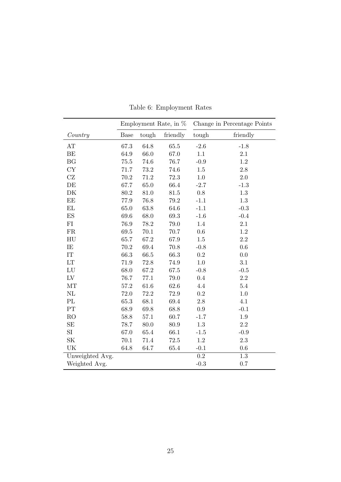<span id="page-25-0"></span>

|                     | Employment Rate, in $%$ |          |          | Change in Percentage Points |          |  |
|---------------------|-------------------------|----------|----------|-----------------------------|----------|--|
| Country             | <b>Base</b>             | tough    | friendly | tough                       | friendly |  |
| AT                  | 67.3                    | 64.8     | 65.5     | $-2.6$                      | $-1.8$   |  |
| <b>BE</b>           | 64.9                    | 66.0     | 67.0     | 1.1                         | 2.1      |  |
| <b>BG</b>           | 75.5                    | 74.6     | 76.7     | $-0.9$                      | 1.2      |  |
| CY                  | 71.7                    | 73.2     | 74.6     | 1.5                         | $2.8\,$  |  |
| CZ                  | 70.2                    | 71.2     | 72.3     | 1.0                         | 2.0      |  |
| DE                  | 67.7                    | 65.0     | 66.4     | $-2.7$                      | $-1.3$   |  |
| DK                  | 80.2                    | 81.0     | $81.5\,$ | 0.8                         | 1.3      |  |
| $\operatorname{EE}$ | 77.9                    | 76.8     | 79.2     | $-1.1$                      | 1.3      |  |
| $\mathbf{EL}$       | 65.0                    | 63.8     | 64.6     | $-1.1$                      | $-0.3$   |  |
| ES                  | 69.6                    | 68.0     | 69.3     | $-1.6$                      | $-0.4$   |  |
| ${\rm FI}$          | 76.9                    | 78.2     | 79.0     | 1.4                         | $2.1\,$  |  |
| ${\rm FR}$          | 69.5                    | $70.1\,$ | 70.7     | $0.6\,$                     | $1.2\,$  |  |
| HU                  | 65.7                    | 67.2     | 67.9     | $1.5\,$                     | $2.2\,$  |  |
| IE                  | 70.2                    | 69.4     | 70.8     | $-0.8$                      | $0.6\,$  |  |
| IT                  | 66.3                    | 66.5     | 66.3     | $\rm 0.2$                   | 0.0      |  |
| LT                  | 71.9                    | 72.8     | 74.9     | 1.0                         | 3.1      |  |
| LU                  | 68.0                    | 67.2     | 67.5     | $-0.8$                      | $-0.5$   |  |
| L <sub>V</sub>      | 76.7                    | 77.1     | 79.0     | 0.4                         | $2.2\,$  |  |
| MT                  | 57.2                    | 61.6     | 62.6     | 4.4                         | 5.4      |  |
| NL                  | 72.0                    | 72.2     | 72.9     | 0.2                         | 1.0      |  |
| PL                  | 65.3                    | 68.1     | 69.4     | $2.8\,$                     | 4.1      |  |
| PT                  | 68.9                    | 69.8     | 68.8     | 0.9                         | $-0.1$   |  |
| R <sub>O</sub>      | 58.8                    | 57.1     | 60.7     | $-1.7$                      | 1.9      |  |
| $\rm SE$            | 78.7                    | 80.0     | 80.9     | 1.3                         | $2.2\,$  |  |
| SI                  | 67.0                    | 65.4     | 66.1     | $-1.5$                      | $-0.9$   |  |
| SK                  | 70.1                    | 71.4     | 72.5     | $1.2\,$                     | $2.3\,$  |  |
| UK                  | 64.8                    | 64.7     | 65.4     | $-0.1$                      | $0.6\,$  |  |
| Unweighted Avg.     |                         |          |          | $\rm 0.2$                   | $1.3\,$  |  |
| Weighted Avg.       |                         |          |          | $-0.3$                      | 0.7      |  |

Table 6: Employment Rates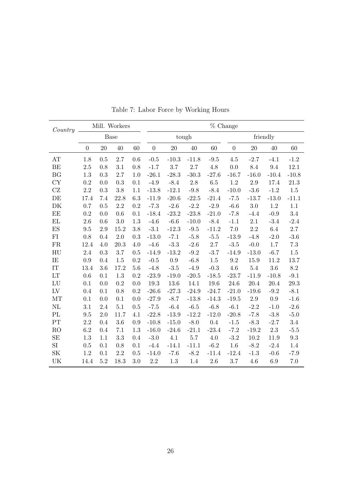| Country                    | Mill. Workers  |     |         |     |                | % Change |         |          |                |         |         |           |
|----------------------------|----------------|-----|---------|-----|----------------|----------|---------|----------|----------------|---------|---------|-----------|
|                            | Base           |     |         |     | tough          |          |         | friendly |                |         |         |           |
|                            | $\overline{0}$ | 20  | 40      | 60  | $\overline{0}$ | 20       | 40      | 60       | $\overline{0}$ | 20      | 40      | 60        |
| AT                         | 1.8            | 0.5 | 2.7     | 0.6 | $-0.5$         | $-10.3$  | $-11.8$ | $-9.5$   | 4.5            | $-2.7$  | $-4.1$  | $-1.2$    |
| BE                         | 2.5            | 0.8 | 3.1     | 0.8 | $-1.7$         | 3.7      | 2.7     | 4.8      | 0.0            | 8.4     | 9.4     | 12.1      |
| BG                         | 1.3            | 0.3 | 2.7     | 1.0 | $-26.1$        | $-28.3$  | $-30.3$ | $-27.6$  | $-16.7$        | $-16.0$ | $-10.4$ | $-10.8$   |
| CY                         | 0.2            | 0.0 | 0.3     | 0.1 | $-4.9$         | $-8.4$   | 2.8     | 6.5      | 1.2            | 2.9     | 17.4    | 21.3      |
| CZ                         | 2.2            | 0.3 | 3.8     | 1.1 | $-13.8$        | $-12.1$  | $-9.8$  | $-8.4$   | $-10.0$        | $-3.6$  | $-1.2$  | 1.5       |
| DE                         | 17.4           | 7.4 | 22.8    | 6.3 | $-11.9$        | $-20.6$  | $-22.5$ | $-21.4$  | $-7.5$         | $-13.7$ | $-13.0$ | $-11.1$   |
| DK                         | 0.7            | 0.5 | 2.2     | 0.2 | $-7.3$         | $-2.6$   | $-2.2$  | $-2.9$   | $-6.6$         | 3.0     | 1.2     | 1.1       |
| EE                         | 0.2            | 0.0 | 0.6     | 0.1 | $-18.4$        | $-23.2$  | $-23.8$ | $-21.0$  | $-7.8$         | $-4.4$  | $-0.9$  | $3.4\,$   |
| EL                         | 2.6            | 0.6 | 3.0     | 1.3 | $-4.6$         | $-6.6$   | $-10.0$ | $-8.4$   | $-1.1$         | $2.1\,$ | $-3.4$  | $-2.4$    |
| ES                         | 9.5            | 2.9 | 15.2    | 3.8 | $-3.1$         | $-12.3$  | $-9.5$  | $-11.2$  | 7.0            | 2.2     | 6.4     | 2.7       |
| FI                         | 0.8            | 0.4 | $2.0\,$ | 0.3 | $-13.0$        | $-7.1$   | $-5.8$  | $-5.5$   | $-13.9$        | $-4.8$  | $-2.0$  | $-3.6$    |
| FR                         | 12.4           | 4.0 | 20.3    | 4.0 | $-4.6$         | $-3.3$   | $-2.6$  | 2.7      | $-3.5$         | $-0.0$  | 1.7     | $7.3\,$   |
| HU                         | 2.4            | 0.3 | 3.7     | 0.5 | $-14.9$        | $-13.2$  | $-9.2$  | $-3.7$   | $-14.9$        | $-13.0$ | $-6.7$  | 1.5       |
| IE                         | 0.9            | 0.4 | 1.5     | 0.2 | $-0.5$         | 0.9      | $-6.8$  | 1.5      | 9.2            | 15.9    | 11.2    | 13.7      |
| IT                         | 13.4           | 3.6 | 17.2    | 5.6 | $-4.8$         | $-3.5$   | $-4.9$  | $-0.3$   | 4.6            | $5.4\,$ | 3.6     | 8.2       |
| $\mathop{\rm LT}\nolimits$ | 0.6            | 0.1 | $1.3\,$ | 0.2 | $-23.9$        | $-19.0$  | $-20.5$ | $-18.5$  | $-23.7$        | $-11.9$ | $-10.8$ | $-9.1$    |
| ${\rm LU}$                 | 0.1            | 0.0 | 0.2     | 0.0 | 19.3           | 13.6     | 14.1    | 19.6     | 24.6           | 20.4    | 20.4    | 29.3      |
| ${\rm LV}$                 | 0.4            | 0.1 | 0.8     | 0.2 | $-26.6$        | $-27.3$  | $-24.9$ | $-24.7$  | $-21.0$        | $-19.6$ | $-9.2$  | $-8.1$    |
| MT                         | 0.1            | 0.0 | 0.1     | 0.0 | $-27.9$        | $-8.7$   | $-13.8$ | $-14.3$  | $-19.5$        | $2.9\,$ | $0.9\,$ | $-1.6$    |
| NL                         | 3.1            | 2.4 | 5.1     | 0.5 | $-7.5$         | $-6.4$   | $-6.5$  | $-6.8$   | $-6.1$         | $-2.2$  | $-1.0$  | $-2.6$    |
| PL                         | 9.5            | 2.0 | 11.7    | 4.1 | $-22.8$        | $-13.9$  | $-12.2$ | $-12.0$  | $-20.8$        | $-7.8$  | $-3.8$  | $-5.0$    |
| PT                         | 2.2            | 0.4 | 3.6     | 0.9 | $-10.8$        | $-15.0$  | $-8.0$  | 0.4      | $-1.5$         | $-8.3$  | $-2.7$  | 3.4       |
| RO                         | 6.2            | 0.4 | 7.1     | 1.3 | $-16.0$        | $-24.6$  | $-21.1$ | $-23.4$  | $-7.2$         | $-19.2$ | $2.3\,$ | $-5.5$    |
| SE                         | 1.3            | 1.1 | 3.3     | 0.4 | $-3.0$         | 4.1      | $5.7\,$ | 4.0      | $-3.2$         | 10.2    | 11.9    | $\rm 9.3$ |
| SI                         | 0.5            | 0.1 | 0.8     | 0.1 | $-4.4$         | $-14.1$  | $-11.1$ | $-6.2$   | 1.6            | $-8.2$  | $-2.4$  | 1.4       |
| <b>SK</b>                  | 1.2            | 0.1 | 2.2     | 0.5 | $-14.0$        | $-7.6$   | $-8.2$  | $-11.4$  | $-12.4$        | $-1.3$  | $-0.6$  | $-7.9$    |
| UK                         | 14.4           | 5.2 | 18.3    | 3.0 | 2.2            | 1.3      | 1.4     | 2.6      | 3.7            | 4.6     | 6.9     | 7.0       |

Table 7: Labor Force by Working Hours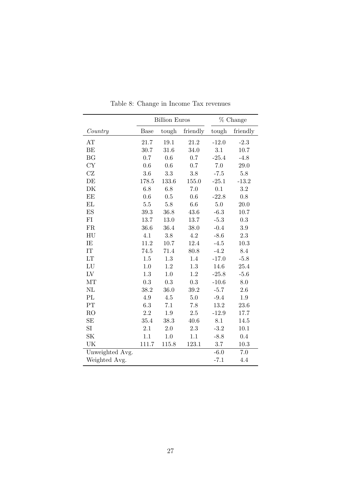<span id="page-27-0"></span>

|                     |           | <b>Billion Euros</b> | % Change  |         |           |
|---------------------|-----------|----------------------|-----------|---------|-----------|
| Country             | Base      | tough                | friendly  | tough   | friendly  |
| AT                  | 21.7      | 19.1                 | 21.2      | $-12.0$ | $-2.3$    |
| BE                  | 30.7      | 31.6                 | 34.0      | 3.1     | $10.7\,$  |
| <b>BG</b>           | 0.7       | 0.6                  | $0.7\,$   | $-25.4$ | $-4.8$    |
| CY                  | 0.6       | 0.6                  | 0.7       | $7.0\,$ | 29.0      |
| $\operatorname{CZ}$ | $3.6\,$   | 3.3                  | $3.8\,$   | $-7.5$  | $5.8\,$   |
| DE                  | 178.5     | 133.6                | 155.0     | $-25.1$ | $-13.2$   |
| DK                  | $6.8\,$   | 6.8                  | $7.0\,$   | 0.1     | $\!3.2\!$ |
| EE                  | 0.6       | 0.5                  | 0.6       | $-22.8$ | $0.8\,$   |
| EL                  | $5.5\,$   | $5.8\,$              | $6.6\,$   | $5.0\,$ | 20.0      |
| ES                  | 39.3      | 36.8                 | $43.6\,$  | $-6.3$  | 10.7      |
| ${\rm FI}$          | 13.7      | $13.0\,$             | 13.7      | $-5.3$  | $\rm 0.3$ |
| ${\rm FR}$          | 36.6      | 36.4                 | 38.0      | $-0.4$  | $3.9\,$   |
| ${\rm H}{\rm U}$    | 4.1       | $3.8\,$              | $4.2\,$   | $-8.6$  | $2.3\,$   |
| IE                  | 11.2      | 10.7                 | 12.4      | $-4.5$  | $10.3\,$  |
| $\operatorname{IT}$ | 74.5      | 71.4                 | 80.8      | $-4.2$  | 8.4       |
| LT                  | $1.5\,$   | $1.3\,$              | 1.4       | $-17.0$ | $-5.8$    |
| LU                  | $1.0\,$   | 1.2                  | 1.3       | 14.6    | 25.4      |
| ${\rm LV}$          | 1.3       | 1.0                  | 1.2       | $-25.8$ | $-5.6$    |
| MT                  | $\rm 0.3$ | $\rm 0.3$            | $\rm 0.3$ | $-10.6$ | $8.0\,$   |
| NL                  | 38.2      | $36.0\,$             | 39.2      | $-5.7$  | $2.6\,$   |
| PL                  | $4.9\,$   | $4.5\,$              | $5.0\,$   | $-9.4$  | $1.9\,$   |
| PT                  | 6.3       | 7.1                  | 7.8       | 13.2    | $23.6\,$  |
| RO                  | $2.2\,$   | 1.9                  | $2.5\,$   | $-12.9$ | 17.7      |
| SE                  | 35.4      | 38.3                 | 40.6      | 8.1     | 14.5      |
| SI                  | 2.1       | $2.0\,$              | $2.3\,$   | $-3.2$  | 10.1      |
| SK                  | 1.1       | 1.0                  | 1.1       | $-8.8$  | 0.4       |
| UK                  | 111.7     | 115.8                | 123.1     | 3.7     | 10.3      |
| Unweighted Avg.     |           |                      |           | $-6.0$  | 7.0       |
| Weighted Avg.       |           |                      |           | $-7.1$  | 4.4       |

Table 8: Change in Income Tax revenues